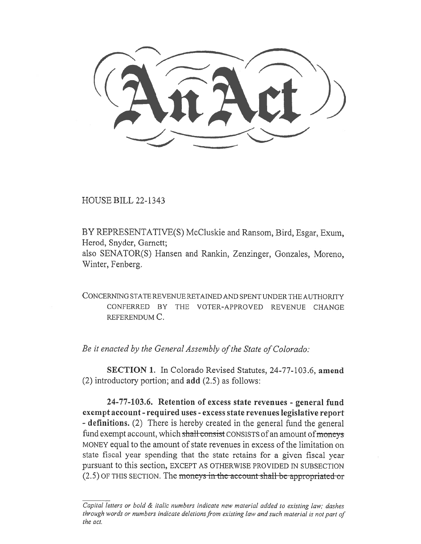HOUSE BILL 22-1343

BY REPRESENTATIVE(S) McCluskie and Ransom, Bird, Esgar, Exum, Herod, Snyder, Garnett; also SENATOR(S) Hansen and Rankin, Zenzinger, Gonzales, Moreno,

Winter, Fenberg.

CONCERNING STATE REVENUE RETAINED AND SPENT UNDER THE AUTHORITY CONFERRED BY THE VOTER-APPROVED REVENUE CHANGE REFERENDUM C.

Be it enacted by the General Assembly of the State of Colorado:

SECTION 1. In Colorado Revised Statutes, 24-77-103.6, amend (2) introductory portion; and add (2.5) as follows:

24-77-103.6. Retention of excess state revenues - general fund exempt account - required uses - excess state revenues legislative report - definitions. (2) There is hereby created in the general fund the general fund exempt account, which shall consist CONSISTS of an amount of moneys MONEY equal to the amount of state revenues in excess of the limitation on state fiscal year spending that the state retains for a given fiscal year pursuant to this section, EXCEPT AS OTHERWISE PROVIDED IN SUBSECTION  $(2.5)$  OF THIS SECTION. The moneys in the account-shall-be-appropriated-or

Capital letters or bold & italic numbers indicate new material added to existing law; dashes through words or numbers indicate deletions from existing law and such material is not part of the act.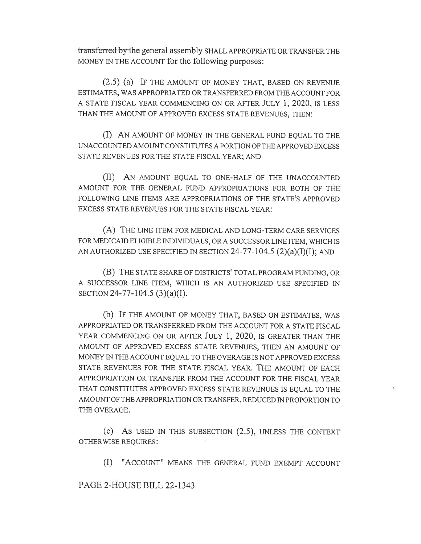transferred by the general assembly SHALL APPROPRIATE OR TRANSFER THE MONEY IN THE ACCOUNT for the following purposes:

(2.5) (a) IF THE AMOUNT OF MONEY THAT, BASED ON REVENUE ESTIMATES, WAS APPROPRIATED OR TRANSFERRED FROM THE ACCOUNT FOR A STATE FISCAL YEAR COMMENCING ON OR AFTER JULY 1, 2020, IS LESS THAN THE AMOUNT OF APPROVED EXCESS STATE REVENUES, THEN:

(I) AN AMOUNT OF MONEY IN THE GENERAL FUND EQUAL TO THE UNACCOUNTED AMOUNT CONSTITUTES A PORTION OF THE APPROVED EXCESS STATE REVENUES FOR THE STATE FISCAL YEAR; AND

(II) AN AMOUNT EQUAL TO ONE-HALF OF THE UNACCOUNTED AMOUNT FOR THE GENERAL FUND APPROPRIATIONS FOR BOTH OF THE FOLLOWING LINE ITEMS ARE APPROPRIATIONS OF THE STATE'S APPROVED EXCESS STATE REVENUES FOR THE STATE FISCAL YEAR:

(A) THE LINE ITEM FOR MEDICAL AND LONG-TERM CARE SERVICES FOR MEDICAID ELIGIBLE INDIVIDUALS, OR A SUCCESSOR LINE ITEM, WHICH IS AN AUTHORIZED USE SPECIFIED IN SECTION  $24-77-104.5$   $(2)(a)(I)(I);$  AND

(B) THE STATE SHARE OF DISTRICTS' TOTAL PROGRAM FUNDING, OR A SUCCESSOR LINE ITEM, WHICH IS AN AUTHORIZED USE SPECIFIED IN SECTION 24-77-104.5 (3)(a)(I).

(b) IF THE AMOUNT OF MONEY THAT, BASED ON ESTIMATES, WAS APPROPRIATED OR TRANSFERRED FROM THE ACCOUNT FOR A STATE FISCAL YEAR COMMENCING ON OR AFTER JULY 1, 2020, IS GREATER THAN THE AMOUNT OF APPROVED EXCESS STATE REVENUES, THEN AN AMOUNT OF MONEY IN THE ACCOUNT EQUAL TO THE OVERAGE IS NOT APPROVED EXCESS STATE REVENUES FOR THE STATE FISCAL YEAR. THE AMOUNT OF EACH APPROPRIATION OR TRANSFER FROM THE ACCOUNT FOR THE FISCAL YEAR THAT CONSTITUTES APPROVED EXCESS STATE REVENUES IS EQUAL TO THE AMOUNT OF THE APPROPRIATION OR TRANSFER, REDUCED IN PROPORTION TO THE OVERAGE.

(c) AS USED IN THIS SUBSECTION (2.5), UNLESS THE CONTEXT OTHERWISE REQUIRES:

(I) "ACCOUNT" MEANS THE GENERAL FUND EXEMPT ACCOUNT

PAGE 2-HOUSE BILL 22-1343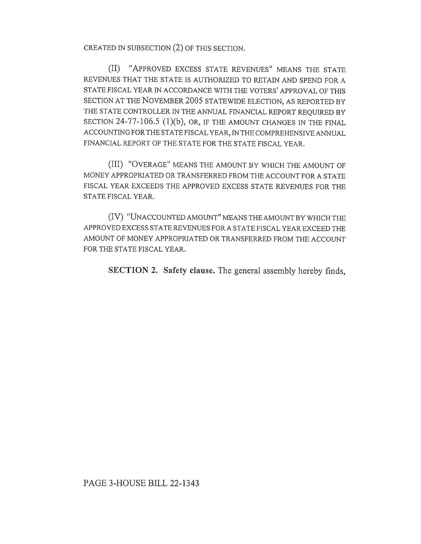CREATED IN SUBSECTION (2) OF THIS SECTION.

(II) "APPROVED EXCESS STATE REVENUES" MEANS THE STATE REVENUES THAT THE STATE IS AUTHORIZED TO RETAIN AND SPEND FOR A STATE FISCAL YEAR IN ACCORDANCE WITH THE VOTERS' APPROVAL OF THIS SECTION AT THE NOVEMBER 2005 STATEWIDE ELECTION, AS REPORTED BY THE STATE CONTROLLER IN THE ANNUAL FINANCIAL REPORT REQUIRED BY SECTION 24-77-106.5 (1)(b), OR, IF THE AMOUNT CHANGES IN THE FINAL ACCOUNTING FOR THE STATE FISCAL YEAR, IN THE COMPREHENSIVE ANNUAL FINANCIAL REPORT OF THE STATE FOR THE STATE FISCAL YEAR.

(III) "OVERAGE" MEANS THE AMOUNT BY WHICH THE AMOUNT OF MONEY APPROPRIATED OR TRANSFERRED FROM THE ACCOUNT FOR A STATE FISCAL YEAR EXCEEDS THE APPROVED EXCESS STATE REVENUES FOR THE STATE FISCAL YEAR.

(IV) "UNACCOUNTED AMOUNT" MEANS THE AMOUNT BY WHICH THE APPROVED EXCESS STATE REVENUES FOR A STATE FISCAL YEAR EXCEED THE AMOUNT OF MONEY APPROPRIATED OR TRANSFERRED FROM THE ACCOUNT FOR THE STATE FISCAL YEAR.

SECTION 2. Safety clause. The general assembly hereby finds,